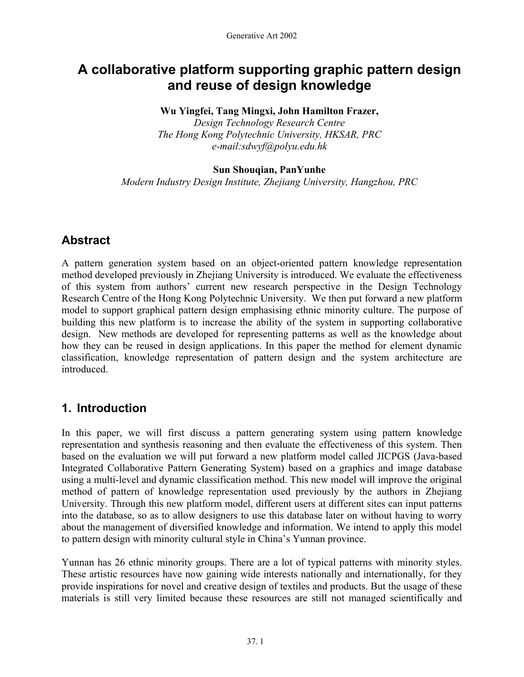# **A collaborative platform supporting graphic pattern design and reuse of design knowledge**

### **Wu Yingfei, Tang Mingxi, John Hamilton Frazer,**

*Design Technology Research Centre The Hong Kong Polytechnic University, HKSAR, PRC e-mail:sdwyf@polyu.edu.hk* 

#### **Sun Shouqian, PanYunhe**

*Modern Industry Design Institute, Zhejiang University, Hangzhou, PRC* 

### **Abstract**

A pattern generation system based on an object-oriented pattern knowledge representation method developed previously in Zhejiang University is introduced. We evaluate the effectiveness of this system from authors' current new research perspective in the Design Technology Research Centre of the Hong Kong Polytechnic University. We then put forward a new platform model to support graphical pattern design emphasising ethnic minority culture. The purpose of building this new platform is to increase the ability of the system in supporting collaborative design. New methods are developed for representing patterns as well as the knowledge about how they can be reused in design applications. In this paper the method for element dynamic classification, knowledge representation of pattern design and the system architecture are introduced.

### **1. Introduction**

In this paper, we will first discuss a pattern generating system using pattern knowledge representation and synthesis reasoning and then evaluate the effectiveness of this system. Then based on the evaluation we will put forward a new platform model called JICPGS (Java-based Integrated Collaborative Pattern Generating System) based on a graphics and image database using a multi-level and dynamic classification method. This new model will improve the original method of pattern of knowledge representation used previously by the authors in Zhejiang University. Through this new platform model, different users at different sites can input patterns into the database, so as to allow designers to use this database later on without having to worry about the management of diversified knowledge and information. We intend to apply this model to pattern design with minority cultural style in China's Yunnan province.

Yunnan has 26 ethnic minority groups. There are a lot of typical patterns with minority styles. These artistic resources have now gaining wide interests nationally and internationally, for they provide inspirations for novel and creative design of textiles and products. But the usage of these materials is still very limited because these resources are still not managed scientifically and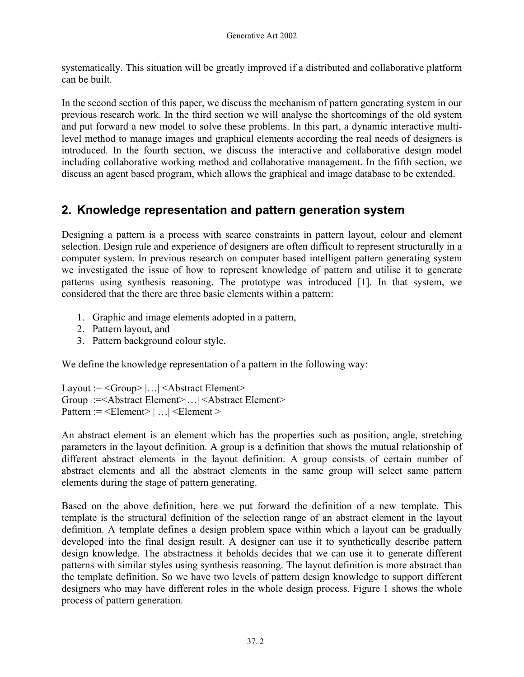systematically. This situation will be greatly improved if a distributed and collaborative platform can be built.

In the second section of this paper, we discuss the mechanism of pattern generating system in our previous research work. In the third section we will analyse the shortcomings of the old system and put forward a new model to solve these problems. In this part, a dynamic interactive multilevel method to manage images and graphical elements according the real needs of designers is introduced. In the fourth section, we discuss the interactive and collaborative design model including collaborative working method and collaborative management. In the fifth section, we discuss an agent based program, which allows the graphical and image database to be extended.

### **2. Knowledge representation and pattern generation system**

Designing a pattern is a process with scarce constraints in pattern layout, colour and element selection. Design rule and experience of designers are often difficult to represent structurally in a computer system. In previous research on computer based intelligent pattern generating system we investigated the issue of how to represent knowledge of pattern and utilise it to generate patterns using synthesis reasoning. The prototype was introduced [1]. In that system, we considered that the there are three basic elements within a pattern:

- 1. Graphic and image elements adopted in a pattern,
- 2. Pattern layout, and
- 3. Pattern background colour style.

We define the knowledge representation of a pattern in the following way:

```
Layout := <Group> |...| <Abstract Element>
Group :=<Abstract Element>|…| <Abstract Element> 
Pattern := <Element> | ... | <Element >
```
An abstract element is an element which has the properties such as position, angle, stretching parameters in the layout definition. A group is a definition that shows the mutual relationship of different abstract elements in the layout definition. A group consists of certain number of abstract elements and all the abstract elements in the same group will select same pattern elements during the stage of pattern generating.

Based on the above definition, here we put forward the definition of a new template. This template is the structural definition of the selection range of an abstract element in the layout definition. A template defines a design problem space within which a layout can be gradually developed into the final design result. A designer can use it to synthetically describe pattern design knowledge. The abstractness it beholds decides that we can use it to generate different patterns with similar styles using synthesis reasoning. The layout definition is more abstract than the template definition. So we have two levels of pattern design knowledge to support different designers who may have different roles in the whole design process. Figure 1 shows the whole process of pattern generation.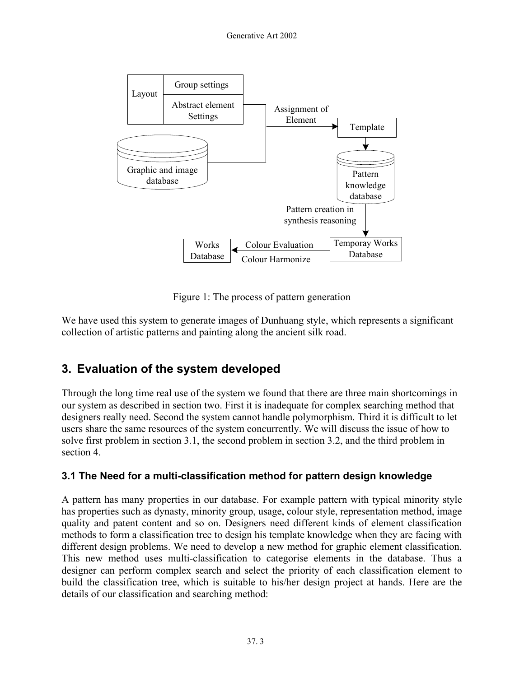

Figure 1: The process of pattern generation

We have used this system to generate images of Dunhuang style, which represents a significant collection of artistic patterns and painting along the ancient silk road.

## **3. Evaluation of the system developed**

Through the long time real use of the system we found that there are three main shortcomings in our system as described in section two. First it is inadequate for complex searching method that designers really need. Second the system cannot handle polymorphism. Third it is difficult to let users share the same resources of the system concurrently. We will discuss the issue of how to solve first problem in section 3.1, the second problem in section 3.2, and the third problem in section 4.

#### **3.1 The Need for a multi-classification method for pattern design knowledge**

A pattern has many properties in our database. For example pattern with typical minority style has properties such as dynasty, minority group, usage, colour style, representation method, image quality and patent content and so on. Designers need different kinds of element classification methods to form a classification tree to design his template knowledge when they are facing with different design problems. We need to develop a new method for graphic element classification. This new method uses multi-classification to categorise elements in the database. Thus a designer can perform complex search and select the priority of each classification element to build the classification tree, which is suitable to his/her design project at hands. Here are the details of our classification and searching method: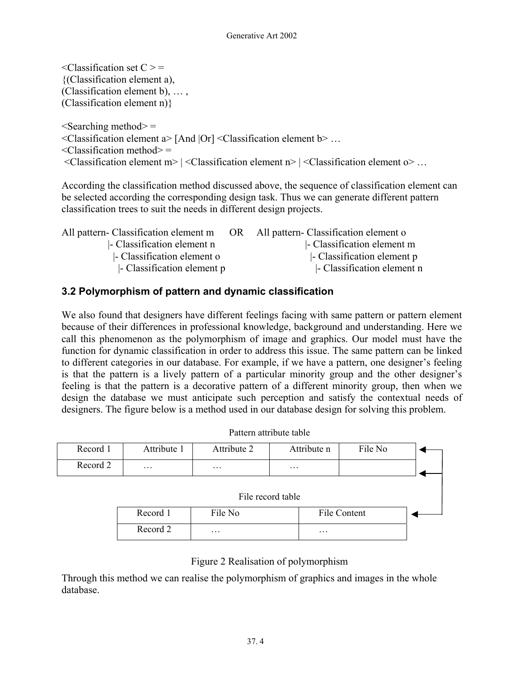$\leq$ Classification set  $C \geq$ {(Classification element a), (Classification element b), … , (Classification element n)}

 $\leq$ Searching method $\geq$  = <Classification element a> [And |Or] <Classification element b> …  $\leq$ Classification method $\geq$  =  $\leq$ Classification element m> |  $\leq$ Classification element n> |  $\leq$ Classification element o> ...

According the classification method discussed above, the sequence of classification element can be selected according the corresponding design task. Thus we can generate different pattern classification trees to suit the needs in different design projects.

| All pattern- Classification element m | OR | All pattern- Classification element o |
|---------------------------------------|----|---------------------------------------|
| - Classification element n            |    | - Classification element m            |
| - Classification element o            |    | - Classification element p            |
| - Classification element p            |    | - Classification element n            |

#### **3.2 Polymorphism of pattern and dynamic classification**

We also found that designers have different feelings facing with same pattern or pattern element because of their differences in professional knowledge, background and understanding. Here we call this phenomenon as the polymorphism of image and graphics. Our model must have the function for dynamic classification in order to address this issue. The same pattern can be linked to different categories in our database. For example, if we have a pattern, one designer's feeling is that the pattern is a lively pattern of a particular minority group and the other designer's feeling is that the pattern is a decorative pattern of a different minority group, then when we design the database we must anticipate such perception and satisfy the contextual needs of designers. The figure below is a method used in our database design for solving this problem.

| Record 1          | Attribute 1 | Attribute 2 | Attribute n         | File No |  |  |
|-------------------|-------------|-------------|---------------------|---------|--|--|
| Record 2          | $\ddotsc$   | $\ddotsc$   | $\ddotsc$           |         |  |  |
| File record table |             |             |                     |         |  |  |
|                   | Record 1    | File No     | <b>File Content</b> |         |  |  |
|                   | Record 2    | $\ddotsc$   | $\cdots$            |         |  |  |

Pattern attribute table

#### Figure 2 Realisation of polymorphism

Through this method we can realise the polymorphism of graphics and images in the whole database.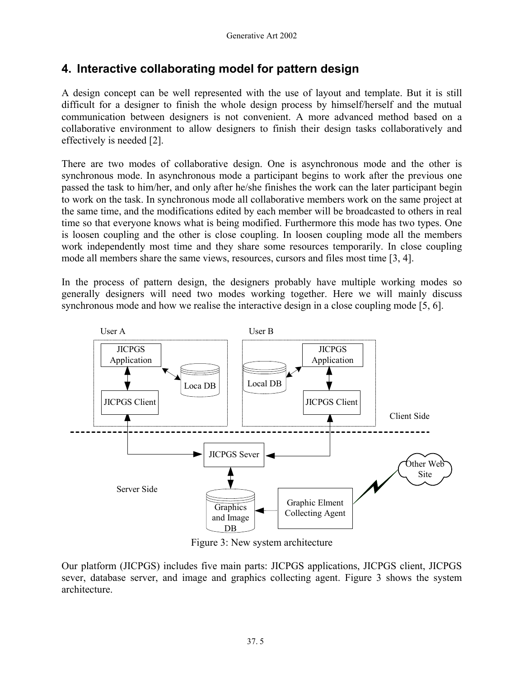### **4. Interactive collaborating model for pattern design**

A design concept can be well represented with the use of layout and template. But it is still difficult for a designer to finish the whole design process by himself/herself and the mutual communication between designers is not convenient. A more advanced method based on a collaborative environment to allow designers to finish their design tasks collaboratively and effectively is needed [2].

There are two modes of collaborative design. One is asynchronous mode and the other is synchronous mode. In asynchronous mode a participant begins to work after the previous one passed the task to him/her, and only after he/she finishes the work can the later participant begin to work on the task. In synchronous mode all collaborative members work on the same project at the same time, and the modifications edited by each member will be broadcasted to others in real time so that everyone knows what is being modified. Furthermore this mode has two types. One is loosen coupling and the other is close coupling. In loosen coupling mode all the members work independently most time and they share some resources temporarily. In close coupling mode all members share the same views, resources, cursors and files most time [3, 4].

In the process of pattern design, the designers probably have multiple working modes so generally designers will need two modes working together. Here we will mainly discuss synchronous mode and how we realise the interactive design in a close coupling mode [5, 6].



Figure 3: New system architecture

Our platform (JICPGS) includes five main parts: JICPGS applications, JICPGS client, JICPGS sever, database server, and image and graphics collecting agent. Figure 3 shows the system architecture.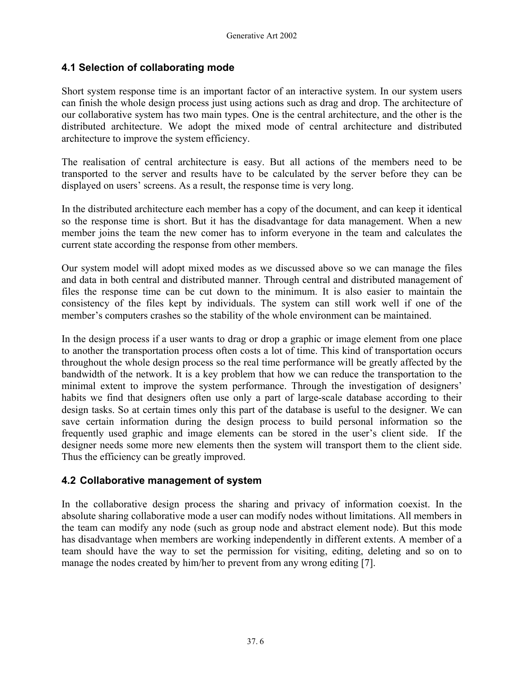#### **4.1 Selection of collaborating mode**

Short system response time is an important factor of an interactive system. In our system users can finish the whole design process just using actions such as drag and drop. The architecture of our collaborative system has two main types. One is the central architecture, and the other is the distributed architecture. We adopt the mixed mode of central architecture and distributed architecture to improve the system efficiency.

The realisation of central architecture is easy. But all actions of the members need to be transported to the server and results have to be calculated by the server before they can be displayed on users' screens. As a result, the response time is very long.

In the distributed architecture each member has a copy of the document, and can keep it identical so the response time is short. But it has the disadvantage for data management. When a new member joins the team the new comer has to inform everyone in the team and calculates the current state according the response from other members.

Our system model will adopt mixed modes as we discussed above so we can manage the files and data in both central and distributed manner. Through central and distributed management of files the response time can be cut down to the minimum. It is also easier to maintain the consistency of the files kept by individuals. The system can still work well if one of the member's computers crashes so the stability of the whole environment can be maintained.

In the design process if a user wants to drag or drop a graphic or image element from one place to another the transportation process often costs a lot of time. This kind of transportation occurs throughout the whole design process so the real time performance will be greatly affected by the bandwidth of the network. It is a key problem that how we can reduce the transportation to the minimal extent to improve the system performance. Through the investigation of designers' habits we find that designers often use only a part of large-scale database according to their design tasks. So at certain times only this part of the database is useful to the designer. We can save certain information during the design process to build personal information so the frequently used graphic and image elements can be stored in the user's client side. If the designer needs some more new elements then the system will transport them to the client side. Thus the efficiency can be greatly improved.

#### **4.2 Collaborative management of system**

In the collaborative design process the sharing and privacy of information coexist. In the absolute sharing collaborative mode a user can modify nodes without limitations. All members in the team can modify any node (such as group node and abstract element node). But this mode has disadvantage when members are working independently in different extents. A member of a team should have the way to set the permission for visiting, editing, deleting and so on to manage the nodes created by him/her to prevent from any wrong editing [7].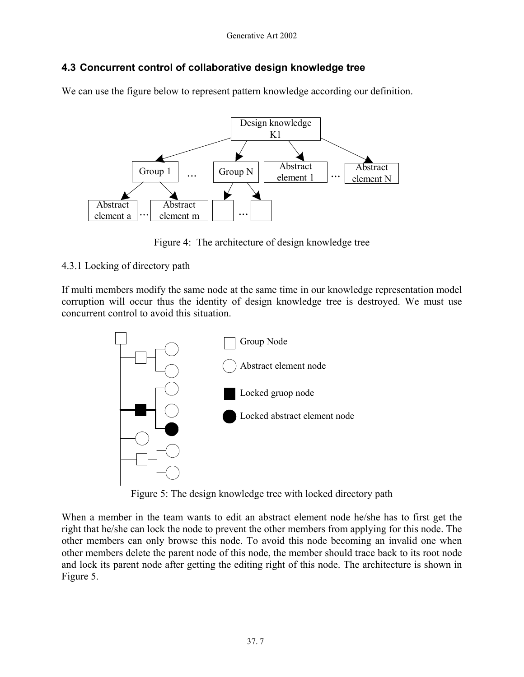#### **4.3 Concurrent control of collaborative design knowledge tree**

We can use the figure below to represent pattern knowledge according our definition.



Figure 4: The architecture of design knowledge tree

#### 4.3.1 Locking of directory path

If multi members modify the same node at the same time in our knowledge representation model corruption will occur thus the identity of design knowledge tree is destroyed. We must use concurrent control to avoid this situation.



Figure 5: The design knowledge tree with locked directory path

When a member in the team wants to edit an abstract element node he/she has to first get the right that he/she can lock the node to prevent the other members from applying for this node. The other members can only browse this node. To avoid this node becoming an invalid one when other members delete the parent node of this node, the member should trace back to its root node and lock its parent node after getting the editing right of this node. The architecture is shown in Figure 5.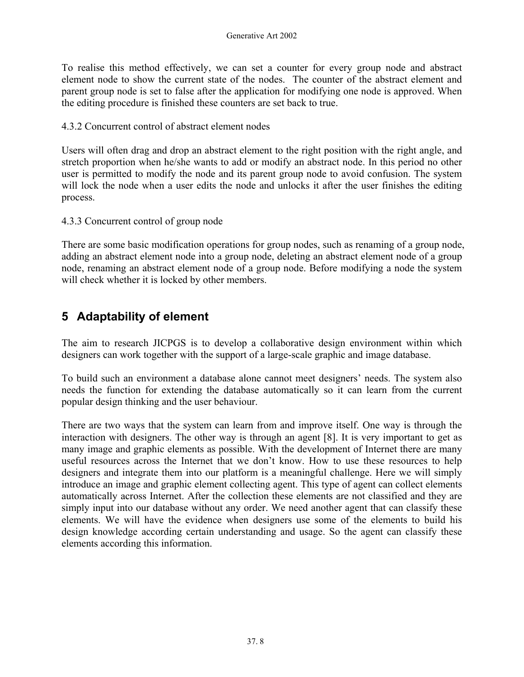To realise this method effectively, we can set a counter for every group node and abstract element node to show the current state of the nodes. The counter of the abstract element and parent group node is set to false after the application for modifying one node is approved. When the editing procedure is finished these counters are set back to true.

4.3.2 Concurrent control of abstract element nodes

Users will often drag and drop an abstract element to the right position with the right angle, and stretch proportion when he/she wants to add or modify an abstract node. In this period no other user is permitted to modify the node and its parent group node to avoid confusion. The system will lock the node when a user edits the node and unlocks it after the user finishes the editing process.

4.3.3 Concurrent control of group node

There are some basic modification operations for group nodes, such as renaming of a group node, adding an abstract element node into a group node, deleting an abstract element node of a group node, renaming an abstract element node of a group node. Before modifying a node the system will check whether it is locked by other members.

### **5 Adaptability of element**

The aim to research JICPGS is to develop a collaborative design environment within which designers can work together with the support of a large-scale graphic and image database.

To build such an environment a database alone cannot meet designers' needs. The system also needs the function for extending the database automatically so it can learn from the current popular design thinking and the user behaviour.

There are two ways that the system can learn from and improve itself. One way is through the interaction with designers. The other way is through an agent [8]. It is very important to get as many image and graphic elements as possible. With the development of Internet there are many useful resources across the Internet that we don't know. How to use these resources to help designers and integrate them into our platform is a meaningful challenge. Here we will simply introduce an image and graphic element collecting agent. This type of agent can collect elements automatically across Internet. After the collection these elements are not classified and they are simply input into our database without any order. We need another agent that can classify these elements. We will have the evidence when designers use some of the elements to build his design knowledge according certain understanding and usage. So the agent can classify these elements according this information.